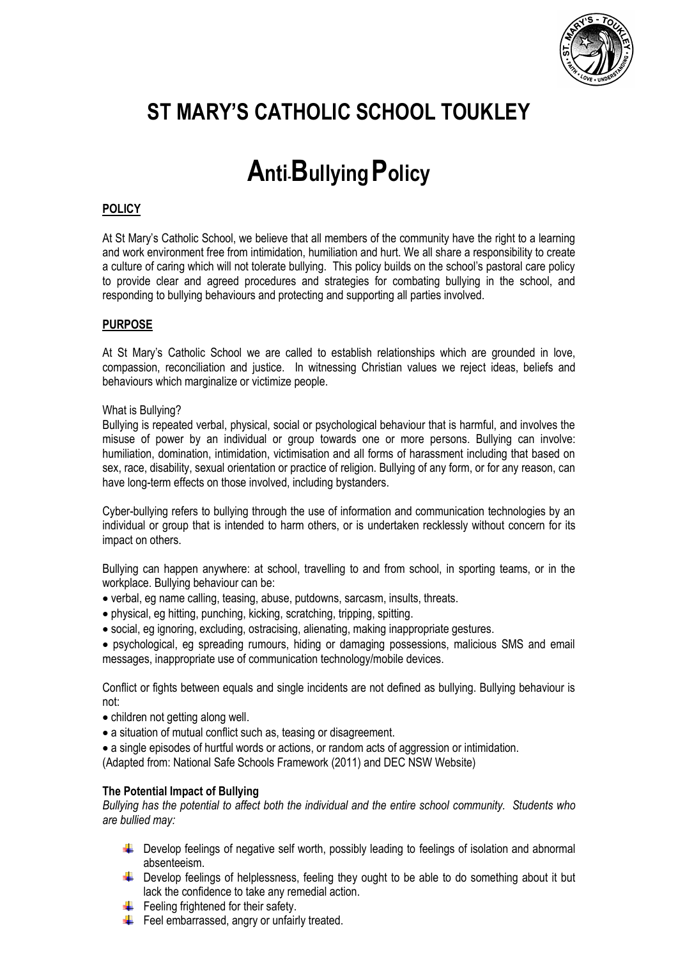

# **ST MARY'S CATHOLIC SCHOOL TOUKLEY**

# **Anti-BullyingPolicy**

# **POLICY**

At St Mary's Catholic School, we believe that all members of the community have the right to a learning and work environment free from intimidation, humiliation and hurt. We all share a responsibility to create a culture of caring which will not tolerate bullying. This policy builds on the school's pastoral care policy to provide clear and agreed procedures and strategies for combating bullying in the school, and responding to bullying behaviours and protecting and supporting all parties involved.

# **PURPOSE**

At St Mary's Catholic School we are called to establish relationships which are grounded in love, compassion, reconciliation and justice. In witnessing Christian values we reject ideas, beliefs and behaviours which marginalize or victimize people.

# What is Bullying?

Bullying is repeated verbal, physical, social or psychological behaviour that is harmful, and involves the misuse of power by an individual or group towards one or more persons. Bullying can involve: humiliation, domination, intimidation, victimisation and all forms of harassment including that based on sex, race, disability, sexual orientation or practice of religion. Bullying of any form, or for any reason, can have long-term effects on those involved, including bystanders.

Cyber-bullying refers to bullying through the use of information and communication technologies by an individual or group that is intended to harm others, or is undertaken recklessly without concern for its impact on others.

Bullying can happen anywhere: at school, travelling to and from school, in sporting teams, or in the workplace. Bullying behaviour can be:

- verbal, eg name calling, teasing, abuse, putdowns, sarcasm, insults, threats.
- physical, eg hitting, punching, kicking, scratching, tripping, spitting.
- social, eg ignoring, excluding, ostracising, alienating, making inappropriate gestures.

• psychological, eg spreading rumours, hiding or damaging possessions, malicious SMS and email messages, inappropriate use of communication technology/mobile devices.

Conflict or fights between equals and single incidents are not defined as bullying. Bullying behaviour is not:

- children not getting along well.
- a situation of mutual conflict such as, teasing or disagreement.
- a single episodes of hurtful words or actions, or random acts of aggression or intimidation.

(Adapted from: National Safe Schools Framework (2011) and DEC NSW Website)

# **The Potential Impact of Bullying**

*Bullying has the potential to affect both the individual and the entire school community. Students who are bullied may:*

- Develop feelings of negative self worth, possibly leading to feelings of isolation and abnormal absenteeism.
- Full Develop feelings of helplessness, feeling they ought to be able to do something about it but lack the confidence to take any remedial action.
- $\bigstar$  Feeling frightened for their safety.
- $\div$  Feel embarrassed, angry or unfairly treated.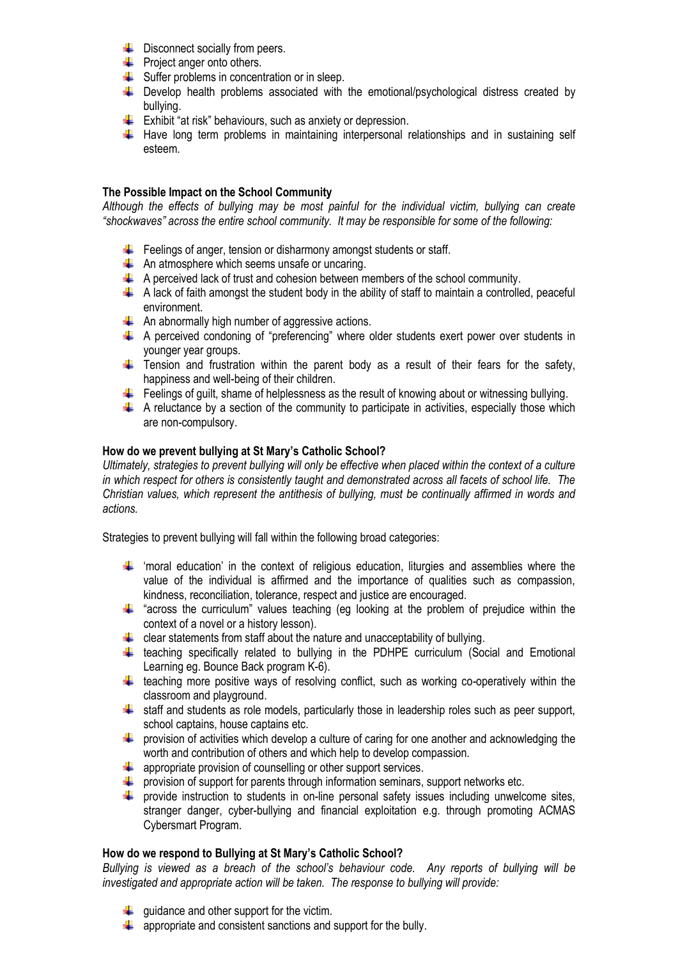- $\leftarrow$  Disconnect socially from peers.
- **Project anger onto others.**
- $\bigstar$  Suffer problems in concentration or in sleep.
- $\ddot{+}$  Develop health problems associated with the emotional/psychological distress created by bullying.
- $\frac{1}{\sqrt{1}}$  Exhibit "at risk" behaviours, such as anxiety or depression.
- $\ddot$  Have long term problems in maintaining interpersonal relationships and in sustaining self esteem.

# **The Possible Impact on the School Community**

*Although the effects of bullying may be most painful for the individual victim, bullying can create "shockwaves" across the entire school community. It may be responsible for some of the following:*

- $\bigstar$  Feelings of anger, tension or disharmony amongst students or staff.
- $\bigstar$  An atmosphere which seems unsafe or uncaring.
- $\uparrow$  A perceived lack of trust and cohesion between members of the school community.
- $\downarrow$  A lack of faith amongst the student body in the ability of staff to maintain a controlled, peaceful environment.
- $\bigstar$  An abnormally high number of aggressive actions.
- A perceived condoning of "preferencing" where older students exert power over students in younger year groups.
- $\ddot{+}$  Tension and frustration within the parent body as a result of their fears for the safety, happiness and well-being of their children.
- Feelings of quilt, shame of helplessness as the result of knowing about or witnessing bullying.
- $\uparrow$  A reluctance by a section of the community to participate in activities, especially those which are non-compulsory.

# **How do we prevent bullying at St Mary's Catholic School?**

*Ultimately, strategies to prevent bullying will only be effective when placed within the context of a culture in which respect for others is consistently taught and demonstrated across all facets of school life. The Christian values, which represent the antithesis of bullying, must be continually affirmed in words and actions.*

Strategies to prevent bullying will fall within the following broad categories:

- $\uparrow$  'moral education' in the context of religious education, liturgies and assemblies where the value of the individual is affirmed and the importance of qualities such as compassion, kindness, reconciliation, tolerance, respect and justice are encouraged.
- $\ddot{+}$  "across the curriculum" values teaching (eg looking at the problem of prejudice within the context of a novel or a history lesson).
- $\downarrow$  clear statements from staff about the nature and unacceptability of bullying.
- $\ddot{+}$  teaching specifically related to bullying in the PDHPE curriculum (Social and Emotional Learning eg. Bounce Back program K-6).
- $\ddot{\phantom{1}}$  teaching more positive ways of resolving conflict, such as working co-operatively within the classroom and playground.
- $\ddot{\phantom{1}}$  staff and students as role models, particularly those in leadership roles such as peer support, school captains, house captains etc.
- $\ddot{\bullet}$  provision of activities which develop a culture of caring for one another and acknowledging the worth and contribution of others and which help to develop compassion.
- $\triangleq$  appropriate provision of counselling or other support services.
- $\ddot{\phantom{1}}$  provision of support for parents through information seminars, support networks etc.
- **F** provide instruction to students in on-line personal safety issues including unwelcome sites, stranger danger, cyber-bullying and financial exploitation e.g. through promoting ACMAS Cybersmart Program.

# **How do we respond to Bullying at St Mary's Catholic School?**

*Bullying is viewed as a breach of the school's behaviour code. Any reports of bullying will be investigated and appropriate action will be taken. The response to bullying will provide:*

- $\downarrow$  guidance and other support for the victim.
- $\triangleq$  appropriate and consistent sanctions and support for the bully.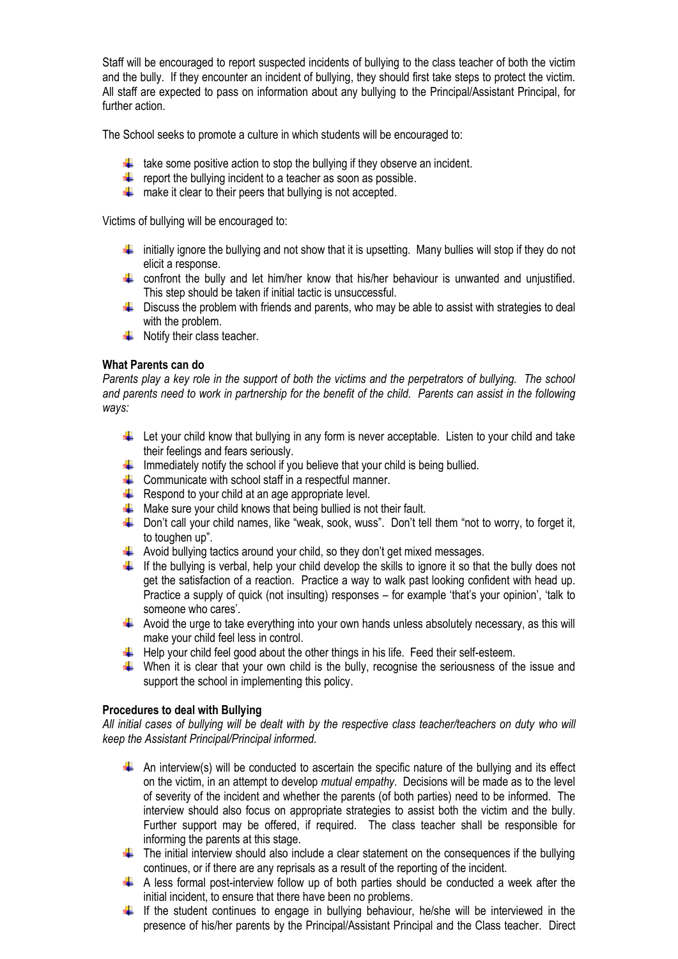Staff will be encouraged to report suspected incidents of bullying to the class teacher of both the victim and the bully. If they encounter an incident of bullying, they should first take steps to protect the victim. All staff are expected to pass on information about any bullying to the Principal/Assistant Principal, for further action.

The School seeks to promote a culture in which students will be encouraged to:

- $\frac{1}{\sqrt{1}}$  take some positive action to stop the bullying if they observe an incident.
- For example  $\frac{1}{\sqrt{2}}$  report the bullying incident to a teacher as soon as possible.
- $\frac{1}{\sqrt{1-\frac{1}{\sqrt{1-\frac{1}{\sqrt{1-\frac{1}{\sqrt{1-\frac{1}{\sqrt{1-\frac{1}{\sqrt{1-\frac{1}{\sqrt{1-\frac{1}{\sqrt{1-\frac{1}{\sqrt{1-\frac{1}{\sqrt{1-\frac{1}{\sqrt{1-\frac{1}{\sqrt{1-\frac{1}{\sqrt{1-\frac{1}{\sqrt{1-\frac{1}{\sqrt{1-\frac{1}{\sqrt{1-\frac{1}{\sqrt{1-\frac{1}{\sqrt{1-\frac{1}{\sqrt{1-\frac{1}{\sqrt{1-\frac{1}{\sqrt{1-\frac{1}{\sqrt{1-\frac{1}{\sqrt{1-\frac{1}{\sqrt{1-\frac{1$

Victims of bullying will be encouraged to:

- $\ddot{\phantom{1}}$  initially ignore the bullying and not show that it is upsetting. Many bullies will stop if they do not elicit a response.
- confront the bully and let him/her know that his/her behaviour is unwanted and unjustified. This step should be taken if initial tactic is unsuccessful.
- $\overline{\phantom{a}}$  Discuss the problem with friends and parents, who may be able to assist with strategies to deal with the problem.
- $\bigstar$  Notify their class teacher.

# **What Parents can do**

*Parents play a key role in the support of both the victims and the perpetrators of bullying. The school and parents need to work in partnership for the benefit of the child. Parents can assist in the following ways:*

- Let your child know that bullying in any form is never acceptable. Listen to your child and take their feelings and fears seriously.
- $\ddot{\phantom{1}}$  Immediately notify the school if you believe that your child is being bullied.
- $\triangleq$  Communicate with school staff in a respectful manner.
- $\overline{\phantom{a} \bullet}$  Respond to your child at an age appropriate level.
- $\frac{1}{\sqrt{1}}$  Make sure your child knows that being bullied is not their fault.
- $\ddot{\bullet}$  Don't call your child names, like "weak, sook, wuss". Don't tell them "not to worry, to forget it, to toughen up".
- $\ddot{\phantom{1}}$  Avoid bullying tactics around your child, so they don't get mixed messages.
- If the bullying is verbal, help your child develop the skills to ignore it so that the bully does not get the satisfaction of a reaction. Practice a way to walk past looking confident with head up. Practice a supply of quick (not insulting) responses – for example 'that's your opinion', 'talk to someone who cares'.
- Avoid the urge to take everything into your own hands unless absolutely necessary, as this will make your child feel less in control.
- $\ddot{+}$  Help your child feel good about the other things in his life. Feed their self-esteem.
- When it is clear that your own child is the bully, recognise the seriousness of the issue and support the school in implementing this policy.

# **Procedures to deal with Bullying**

*All initial cases of bullying will be dealt with by the respective class teacher/teachers on duty who will keep the Assistant Principal/Principal informed.*

- $\ddot{+}$  An interview(s) will be conducted to ascertain the specific nature of the bullying and its effect on the victim, in an attempt to develop *mutual empathy*. Decisions will be made as to the level of severity of the incident and whether the parents (of both parties) need to be informed. The interview should also focus on appropriate strategies to assist both the victim and the bully. Further support may be offered, if required. The class teacher shall be responsible for informing the parents at this stage.
- $\ddot{\phantom{1}}$  The initial interview should also include a clear statement on the consequences if the bullying continues, or if there are any reprisals as a result of the reporting of the incident.
- $\uparrow$  A less formal post-interview follow up of both parties should be conducted a week after the initial incident, to ensure that there have been no problems.
- If the student continues to engage in bullying behaviour, he/she will be interviewed in the presence of his/her parents by the Principal/Assistant Principal and the Class teacher. Direct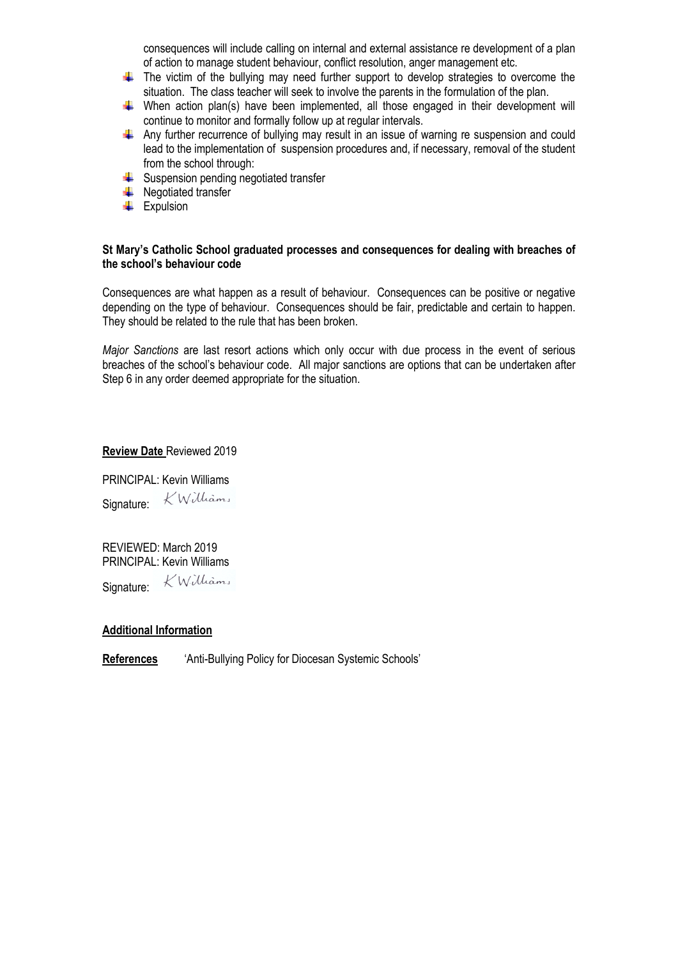consequences will include calling on internal and external assistance re development of a plan of action to manage student behaviour, conflict resolution, anger management etc.

- $\ddot{+}$  The victim of the bullying may need further support to develop strategies to overcome the situation. The class teacher will seek to involve the parents in the formulation of the plan.
- $\uparrow$  When action plan(s) have been implemented, all those engaged in their development will continue to monitor and formally follow up at regular intervals.
- $\ddot{+}$  Any further recurrence of bullying may result in an issue of warning re suspension and could lead to the implementation of suspension procedures and, if necessary, removal of the student from the school through:
- $\triangleq$  Suspension pending negotiated transfer
- $\leftarrow$  Negotiated transfer
- $\overline{\phantom{a}}$  Expulsion

# **St Mary's Catholic School graduated processes and consequences for dealing with breaches of the school's behaviour code**

Consequences are what happen as a result of behaviour. Consequences can be positive or negative depending on the type of behaviour. Consequences should be fair, predictable and certain to happen. They should be related to the rule that has been broken.

*Major Sanctions* are last resort actions which only occur with due process in the event of serious breaches of the school's behaviour code. All major sanctions are options that can be undertaken after Step 6 in any order deemed appropriate for the situation.

# **Review Date** Reviewed 2019

PRINCIPAL: Kevin Williams Signature: KWilliams

REVIEWED: March 2019 PRINCIPAL: Kevin Williams Signature: KWilliams

# **Additional Information**

**References** 'Anti-Bullying Policy for Diocesan Systemic Schools'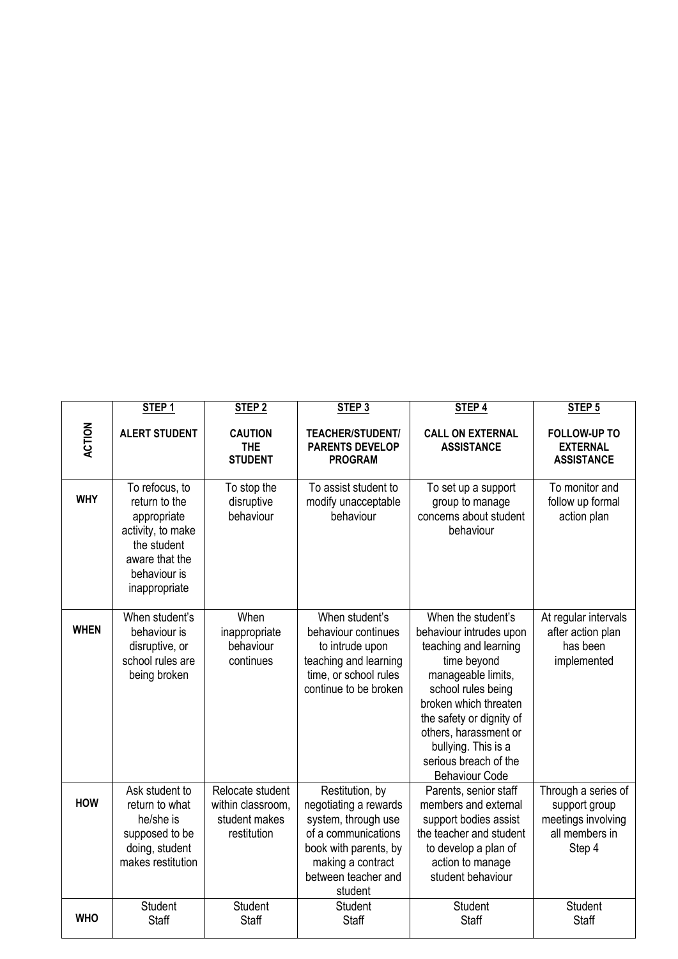|             | STEP <sub>1</sub>                                                                                                                     | STEP <sub>2</sub>                                                     | STEP <sub>3</sub>                                                                                                                                                      | STEP <sub>4</sub>                                                                                                                                                                                                                                                                        | STEP <sub>5</sub>                                                                      |
|-------------|---------------------------------------------------------------------------------------------------------------------------------------|-----------------------------------------------------------------------|------------------------------------------------------------------------------------------------------------------------------------------------------------------------|------------------------------------------------------------------------------------------------------------------------------------------------------------------------------------------------------------------------------------------------------------------------------------------|----------------------------------------------------------------------------------------|
| ACTION      | <b>ALERT STUDENT</b>                                                                                                                  | <b>CAUTION</b><br><b>THE</b><br><b>STUDENT</b>                        | <b>TEACHER/STUDENT/</b><br><b>PARENTS DEVELOP</b><br><b>PROGRAM</b>                                                                                                    | <b>CALL ON EXTERNAL</b><br><b>ASSISTANCE</b>                                                                                                                                                                                                                                             | <b>FOLLOW-UP TO</b><br><b>EXTERNAL</b><br><b>ASSISTANCE</b>                            |
| <b>WHY</b>  | To refocus, to<br>return to the<br>appropriate<br>activity, to make<br>the student<br>aware that the<br>behaviour is<br>inappropriate | To stop the<br>disruptive<br>behaviour                                | To assist student to<br>modify unacceptable<br>behaviour                                                                                                               | To set up a support<br>group to manage<br>concerns about student<br>behaviour                                                                                                                                                                                                            | To monitor and<br>follow up formal<br>action plan                                      |
| <b>WHEN</b> | When student's<br>behaviour is<br>disruptive, or<br>school rules are<br>being broken                                                  | When<br>inappropriate<br>behaviour<br>continues                       | When student's<br>behaviour continues<br>to intrude upon<br>teaching and learning<br>time, or school rules<br>continue to be broken                                    | When the student's<br>behaviour intrudes upon<br>teaching and learning<br>time beyond<br>manageable limits,<br>school rules being<br>broken which threaten<br>the safety or dignity of<br>others, harassment or<br>bullying. This is a<br>serious breach of the<br><b>Behaviour Code</b> | At regular intervals<br>after action plan<br>has been<br>implemented                   |
| <b>HOW</b>  | Ask student to<br>return to what<br>he/she is<br>supposed to be<br>doing, student<br>makes restitution                                | Relocate student<br>within classroom,<br>student makes<br>restitution | Restitution, by<br>negotiating a rewards<br>system, through use<br>of a communications<br>book with parents, by<br>making a contract<br>between teacher and<br>student | Parents, senior staff<br>members and external<br>support bodies assist<br>the teacher and student<br>to develop a plan of<br>action to manage<br>student behaviour                                                                                                                       | Through a series of<br>support group<br>meetings involving<br>all members in<br>Step 4 |
| <b>WHO</b>  | Student<br><b>Staff</b>                                                                                                               | Student<br><b>Staff</b>                                               | <b>Student</b><br><b>Staff</b>                                                                                                                                         | Student<br><b>Staff</b>                                                                                                                                                                                                                                                                  | Student<br><b>Staff</b>                                                                |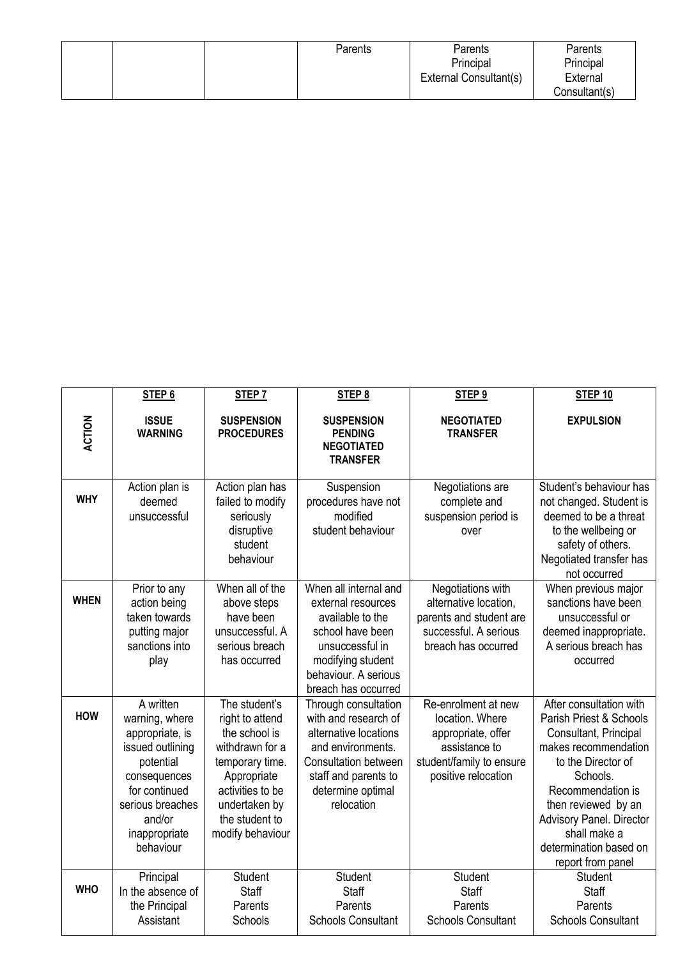|  | Parents | Parents                | Parents       |
|--|---------|------------------------|---------------|
|  |         | Principal              | Principal     |
|  |         | External Consultant(s) | External      |
|  |         |                        | Consultant(s) |

|               | STEP <sub>6</sub>                                                                                                                                                            | STEP <sub>7</sub>                                                                                                                                                                 | STEP <sub>8</sub>                                                                                                                                                                    | STEP <sub>9</sub>                                                                                                                | STEP <sub>10</sub>                                                                                                                                                                                                                                                                  |
|---------------|------------------------------------------------------------------------------------------------------------------------------------------------------------------------------|-----------------------------------------------------------------------------------------------------------------------------------------------------------------------------------|--------------------------------------------------------------------------------------------------------------------------------------------------------------------------------------|----------------------------------------------------------------------------------------------------------------------------------|-------------------------------------------------------------------------------------------------------------------------------------------------------------------------------------------------------------------------------------------------------------------------------------|
| <b>ACTION</b> | <b>ISSUE</b><br><b>WARNING</b>                                                                                                                                               | <b>SUSPENSION</b><br><b>PROCEDURES</b>                                                                                                                                            | <b>SUSPENSION</b><br><b>PENDING</b><br><b>NEGOTIATED</b><br><b>TRANSFER</b>                                                                                                          | <b>NEGOTIATED</b><br><b>TRANSFER</b>                                                                                             | <b>EXPULSION</b>                                                                                                                                                                                                                                                                    |
| <b>WHY</b>    | Action plan is<br>deemed<br>unsuccessful                                                                                                                                     | Action plan has<br>failed to modify<br>seriously<br>disruptive<br>student<br>behaviour                                                                                            | Suspension<br>procedures have not<br>modified<br>student behaviour                                                                                                                   | Negotiations are<br>complete and<br>suspension period is<br>over                                                                 | Student's behaviour has<br>not changed. Student is<br>deemed to be a threat<br>to the wellbeing or<br>safety of others.<br>Negotiated transfer has<br>not occurred                                                                                                                  |
| <b>WHEN</b>   | Prior to any<br>action being<br>taken towards<br>putting major<br>sanctions into<br>play                                                                                     | When all of the<br>above steps<br>have been<br>unsuccessful. A<br>serious breach<br>has occurred                                                                                  | When all internal and<br>external resources<br>available to the<br>school have been<br>unsuccessful in<br>modifying student<br>behaviour. A serious<br>breach has occurred           | Negotiations with<br>alternative location,<br>parents and student are<br>successful. A serious<br>breach has occurred            | When previous major<br>sanctions have been<br>unsuccessful or<br>deemed inappropriate.<br>A serious breach has<br>occurred                                                                                                                                                          |
| <b>HOW</b>    | A written<br>warning, where<br>appropriate, is<br>issued outlining<br>potential<br>consequences<br>for continued<br>serious breaches<br>and/or<br>inappropriate<br>behaviour | The student's<br>right to attend<br>the school is<br>withdrawn for a<br>temporary time.<br>Appropriate<br>activities to be<br>undertaken by<br>the student to<br>modify behaviour | Through consultation<br>with and research of<br>alternative locations<br>and environments.<br><b>Consultation between</b><br>staff and parents to<br>determine optimal<br>relocation | Re-enrolment at new<br>location. Where<br>appropriate, offer<br>assistance to<br>student/family to ensure<br>positive relocation | After consultation with<br>Parish Priest & Schools<br>Consultant, Principal<br>makes recommendation<br>to the Director of<br>Schools.<br>Recommendation is<br>then reviewed by an<br><b>Advisory Panel. Director</b><br>shall make a<br>determination based on<br>report from panel |
| <b>WHO</b>    | Principal<br>In the absence of<br>the Principal<br>Assistant                                                                                                                 | <b>Student</b><br>Staff<br>Parents<br>Schools                                                                                                                                     | <b>Student</b><br>Staff<br>Parents<br><b>Schools Consultant</b>                                                                                                                      | Student<br>Staff<br>Parents<br><b>Schools Consultant</b>                                                                         | <b>Student</b><br>Staff<br>Parents<br><b>Schools Consultant</b>                                                                                                                                                                                                                     |